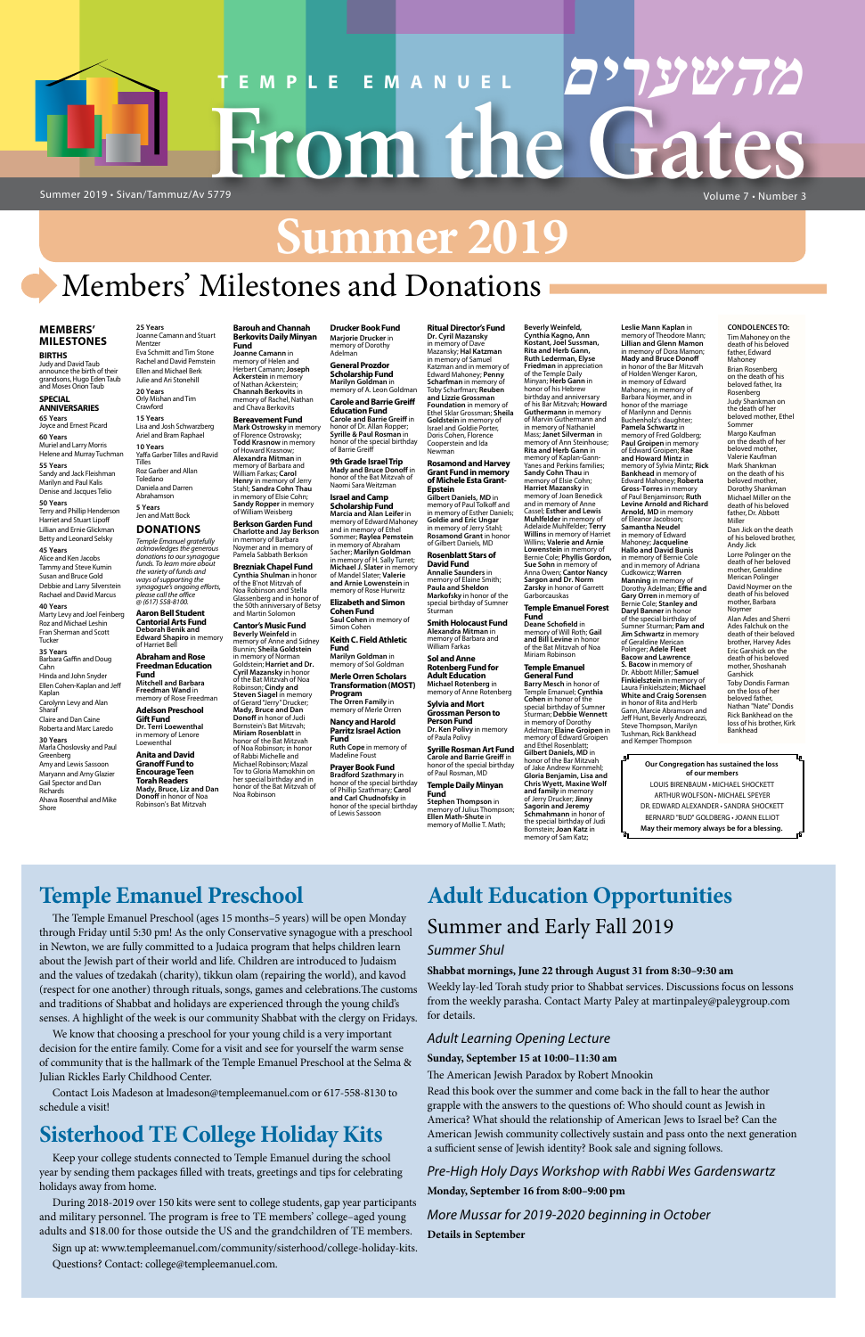# **Summer 2019**

# Members' Milestones and Donations

**מהשערים**

#### **MEMBERS' MILESTONES**

**BIRTHS** Judy and David Taub announce the birth of their grandsons, Hugo Eden Taub and Moses Orion Taub

#### **SPECIAL ANNIVERSARIES**

**65 Years** Joyce and Ernest Picard

**60 Years** Muriel and Larry Morris Helene and Murray Tuchman

Marty Levy and Joel Feinberg Roz and Michael Leshin Fran Sherman and Scott **Tucker** 

**55 Years** Sandy and Jack Fleishman Marilyn and Paul Kalis

Denise and Jacques Telio **50 Years** Terry and Phillip Henderson Harriet and Stuart Lipoff Lillian and Ernie Glickman

Betty and Leonard Selsky **45 Years** Alice and Ken Jacobs Tammy and Steve Kumin

Susan and Bruce Gold Debbie and Larry Silverstein Rachael and David Marcus **40 Years**

**35 Years** Barbara Gaffin and Doug Cahn Hinda and John Snyder Ellen Cohen-Kaplan and Jeff Kaplan Carolynn Levy and Alan

Sharaf Claire and Dan Caine Roberta and Marc Laredo

**30 Years** Marla Choslovsky and Paul

Greenberg Amy and Lewis Sassoon Maryann and Arny Glazier

Gail Spector and Dan Richards Ahava Rosenthal and Mike Shore

**Barouh and Channah** 

**Fund**

**General Prozdor Scholarship Fund Marilyn Goldman** in manny of A. Leon Goldman

**Joanne Camann** in memory of Helen and Herbert Camann; **Joseph Ackerstein** in memory of Nathan Ackerstein; **Channah Berkovits** in memory of Rachel, Nathan and Chava Berkovits **Bereavement Fund Mark Ostrowsky** in memory of Florence Ostrowsky; **Todd Krasnow** in memory of Howard Krasnow;

**Berkson Garden Fund Charlotte and Jay Berkson** in memory of Barbara<br>Noymer and in memory of Pamela Sabbath Berkson **Brezniak Chapel Fund Cynthia Shulman** in honor of the B'not Mitzvah of Noa Robinson and Stella

> **Prayer Book Fund Bradford Szathmary** in honor of the special birthday of Phillip Szathmary; **Carol and Carl Chudnofsky** in<br>honor of the special birthday<br>of Lewis Sassoon

**Berkovits Daily Minyan Drucker Book Fund Marjorie Drucker** in memory of Dorothy Adelman

Glassenberg and in honor of the 50th anniversary of Betsy and Martin Solomon **Cantor's Music Fund Beverly Weinfeld** in memory of Anne and Sidney Bunnin; **Sheila Goldstein** in memory of Norman Goldstein; **Harriet and Dr. Cyril Mazansky** in honor of the Bat Mitzvah of Noa Robinson; **Cindy and Steven Siagel** in memory of Gerard "Jerry" Drucker; **Mady, Bruce and Dan Donoff** in honor of Judi Bornstein's Bat Mitzvah; **Miriam Rosenblatt** in honor of the Bat Mitzvah of Noa Robinson; in honor of Rabbi Michelle and Michael Robinson; Mazal Tov to Gloria Mamokhin on her special birthday and in honor of the Bat Mitzvah of Noa Robinson

**Smith Holocaust Fund Alexandra Mitman** in<br>memory of Barbara and<br>William Farkas

**Temple Daily Minyan Stephen Thompson** in memory of Julius Thompson; **Ellen Math-Shute** in emory of Mollie T. Math;

**Carole and Barrie Greiff Education Fund Carole and Barrie Greiff** in honor of Dr. Allan Ropper; **Syrille & Paul Rosman** in honor of the special birthday of Barrie Greiff

**9th Grade Israel Trip Mady and Bruce Donoff** in honor of the Bat Mitzvah of Naomi Sara Weitzman

Beverly Weinfeld,<br>Cynthia Kagno, Ann<br>Kostant, Joel Sussman,<br>Rita and Herb Gann, **Ruth Lederman, Elyse Friedman** in appreciation of the Temple Daily Minyan; **Herb Gann** in honor of his Hebrew<br>birthday and anniversary of his Bar Mitzvah; **Howard Guthermann** in memory of Marvin Guthermann and in memory of Nathaniel<br>Mass; **Janet Silverman** in<br>memory of Ann Steinhouse; **Rita and Herb Gann** in memory of Kaplan-Gann-Yanes and Perkins families; **Sandy Cohn Thau** in memory of Elsie Cohn; **Harriet Mazansky** in memory of Joan Benedick and in memory of Anne Cassel; **Esther and Lewis Muhlfelder** in memory of Adelaide Muhlfelder; **Terry Willins** in memory of Harriet Willins; **Valerie and Arnie Lowenstein** in memory of Bernie Cole; **Phyllis Gordon, Sue Sohn** in memory of Anna Owen; **Cantor Nancy Sargon and Dr. Norm Zarsky** in honor of Garrett Garborcauskas **Temple Emanuel Forest Fund**

**Israel and Camp Scholarship Fund Marcia and Alan Leifer** in memory of Edward Mahoney and in memory of Ethel<br>Sommer; **Raylea Pemstein**<br>in memory of Abraham Sacher; **Marilyn Goldman** in memory of H. Sally Turret; **Michael J. Slater** in memory of Mandel Slater; **Valerie and Arnie Lowenstein** in memory of Rose Hurwitz

**Elizabeth and Simon Cohen Fund Saul Cohen** in memory of

Simon Cohen **Keith C. Field Athletic** 

**Fund Marilyn Goldman** in memory of Sol Goldman

**Merle Orren Scholars** 

**Transformation (MOST) Program The Orren Family** in

memory of Merle Orren **Nancy and Harold Parritz Israel Action** 

**Fund Ruth Cope** in memory of Madeline Foust

**Ritual Director's Fund Dr. Cyril Mazansky** in memory of Dave Mazansky; **Hal Katzman** in memory of Samuel<br>Katzman and in memory of Edward Mahoney; **Penny Scharfman** in memory of Toby Scharfman; **Reuben and Lizzie Grossman Foundation** in memory of Ethel Sklar Grossman; **Sheila Goldstein** in memory of Israel and Goldie Porter, Doris Cohen, Florence Cooperstein and Ida Newman **Rosamond and Harvey Grant Fund in memory** 

**of Michele Esta Grant-Epstein Gilbert Daniels, MD** in memory of Paul Tolkoff and in memory of Esther Daniels; **Goldie and Eric Ungar** in memory of Jerry Stahl; **Rosamond Grant** in honor of Gilbert Daniels, MD **Rosenblatt Stars of** 

**Loewenthal Anita and David Granoff Fund to Encourage Teen** 

**David Fund Annalie Saunders** in memory of Elaine Smith; **Paula and Sheldon Markofsky** in honor of the special birthday of Sumner Sturman

**Sol and Anne Rotenberg Fund for Adult Education Michael Rotenberg** in memory of Anne Rotenberg

**Sylvia and Mort Grossman Person to Person Fund**

**Dr. Ken Polivy** in memory of Paula Polivy **Syrille Rosman Art Fund**

**Alexandra Mitman** in memory of Barbara and William Farkas; **Carol Henry** in memory of Jerry Stahl; **Sandra Cohn Thau** in memory of Elsie Cohn; **Sandy Ropper** in memory of William Weisberg Roz Garber and Allan Daniela and Darren

> **Carole and Barrie Greiff** in honor of the special birthday of Paul Rosman, MD

**Fund**

**Deane Schofield** in memory of Will Roth; **Gail and Bill Levine** in honor of the Bat Mitzvah of Noa Miriam Robinson

### **Temple Emanuel**

**General Fund Barry Mesch** in honor of Temple Emanuel; **Cynthia Cohen** in honor of the special birthday of Sumner Sturman; **Debbie Wennett** in memory of Dorothy Adelman; **Elaine Groipen** in memory of Edward Groipen and Ethel Rosenblatt; **Gilbert Daniels, MD** in honor of the Bar Mitzvah of Jake Andrew Kornmehl; **Gloria Benjamin, Lisa and Chris Wyett, Maxine Wolf and family** in memory of Jerry Drucker; **Jinny Sagorin and Jeremy Schmahmann** in honor of the special birthday of Judi Bornstein; **Joan Katz** in memory of Sam Katz;

# Summer 2019 • Sivan/Tammuz/Av 5779 Volume 7 • Number 3 **TEMPLE EMANUEL מהשערים From the Gates**

**Leslie Mann Kaplan** in memory of Theodore Mann; **Lillian and Glenn Mamon** in memory of Dora Mamon; **Mady and Bruce Donoff** in honor of the Bar Mitzvah of Holden Wenger Karon, in memory of Edward Mahoney, in memory of Barbara Noymer, and in honor of the marriage of Marilynn and Dennis Buchenholz's daughter; **Pamela Schwartz** in memory of Fred Goldberg; **Paul Groipen** in memory of Edward Groipen; **Rae and Howard Mintz** in memory of Sylvia Mintz; **Rick Bankhead** in memory of Edward Mahoney; **Roberta Gross-Torres** in memory of Paul Benjaminson; **Ruth Levine Arnold and Richard Arnold, MD** in memory of Eleanor Jacobson; **Samantha Neudel** in memory of Edward Mahoney; **Jacqueline Hallo and David Bunis** in memory of Bernie Cole and in memory of Adriana Cudkowicz; **Warren Manning** in memory of Dorothy Adelman; **Effie and Gary Orren** in memory of Bernie Cole; **Stanley and Daryl Banner** in honor of the special birthday of Sumner Sturman; **Pam and Jim Schwartz** in memory of Geraldine Merican Polinger; **Adele Fleet Bacow and Lawrence S. Bacow** in memory of Dr. Abbott Miller; **Samuel Finkielsztein** in memory of Laura Finkielsztein; **Michael White and Craig Sorensen** in honor of Rita and Herb Gann, Marcie Abramson and Jeff Hunt, Beverly Andreozzi, Steve Thompson, Marilyn Tushman, Rick Bankhead

and Kemper Thompson

# **25 Years** Joanne Camann and Stuart Mentzer

Eva Schmitt and Tim Stone Rachel and David Pemstein Ellen and Michael Berk Julie and Ari Stonehill **20 Years** Orly Mishan and Tim Crawford

**15 Years** Lisa and Josh Schwarzberg Ariel and Bram Raphael **10 Years** Yaffa Garber Tilles and Ravid Tilles

Toledano

Abrahamson

### **5 Years** Jen and Matt Bock **DONATIONS**

*Temple Emanuel gratefully acknowledges the generous donations to our synagogue funds. To learn more about the variety of funds and ways of supporting the synagogue's ongoing efforts, please call the office @ (617) 558-8100.*

**Aaron Bell Student Cantorial Arts Fund Deborah Benik and Edward Shapiro** in memory of Harriet Bel **Abraham and Rose** 

**Freedman Education Fund Mitchell and Barbara Freedman Wand** in memory of Rose Freedman

**Adelson Preschool Gift Fund Dr. Terri Loewenthal**

in memory of Lenore

**Torah Readers Mady, Bruce, Liz and Dan Donoff** in honor of Noa Robinson's Bat Mitzvah

### **CONDOLENCES TO:** Tim Mahoney on the death of his beloved

father, Edward Mahoney Brian Rosenberg<br>on the death of his beloved father, Ira Rosenberg Judy Shankman on the death of her beloved mother, Ethel Sommer Margo Kaufman<br>on the death of her<br>beloved mother, Valerie Kaufman Mark Shankman on the death of his beloved mother, Dorothy Shankman Michael Miller on the death of his beloved father, Dr. Abbott Miller Dan Jick on the death of his beloved brother, Andy Jick Lorre Polinger on the death of her beloved mother, Geraldine Merican Polinger David Noymer on the death of his beloved mother, Barbara Noymer Alan Ades and Sherri Ades Falchuk on the death of their beloved brother, Harvey Ades Eric Garshick on the death of his beloved mother, Shoshanah **Garshick** Toby Dondis Farman on the loss of her beloved father,<br>Nathan "Nate" Dondis Rick Bankhead on the loss of his brother, Kirk Bankhead

#### **Our Congregation has sustained the loss of our members**

LOUIS BIRENBAUM • MICHAEL SHOCKETT ARTHUR WOLFSON • MICHAEL SPEYER DR. EDWARD ALEXANDER • SANDRA SHOCKETT BERNARD "BUD" GOLDBERG • JOANN ELLIOT **May their memory always be for a blessing.**

# **Temple Emanuel Preschool**

The Temple Emanuel Preschool (ages 15 months–5 years) will be open Monday through Friday until 5:30 pm! As the only Conservative synagogue with a preschool in Newton, we are fully committed to a Judaica program that helps children learn about the Jewish part of their world and life. Children are introduced to Judaism and the values of tzedakah (charity), tikkun olam (repairing the world), and kavod

(respect for one another) through rituals, songs, games and celebrations.The customs and traditions of Shabbat and holidays are experienced through the young child's senses. A highlight of the week is our community Shabbat with the clergy on Fridays.

We know that choosing a preschool for your young child is a very important decision for the entire family. Come for a visit and see for yourself the warm sense of community that is the hallmark of the Temple Emanuel Preschool at the Selma & Julian Rickles Early Childhood Center.

Contact Lois Madeson at lmadeson@templeemanuel.com or 617-558-8130 to schedule a visit!

# **Sisterhood TE College Holiday Kits**

Keep your college students connected to Temple Emanuel during the school year by sending them packages filled with treats, greetings and tips for celebrating holidays away from home.

During 2018-2019 over 150 kits were sent to college students, gap year participants and military personnel. The program is free to TE members' college–aged young adults and \$18.00 for those outside the US and the grandchildren of TE members.

Sign up at: www.templeemanuel.com/community/sisterhood/college-holiday-kits. Questions? Contact: college@templeemanuel.com.

# **Adult Education Opportunities** Summer and Early Fall 2019 *Summer Shul*

**Shabbat mornings, June 22 through August 31 from 8:30–9:30 am**

Weekly lay-led Torah study prior to Shabbat services. Discussions focus on lessons from the weekly parasha. Contact Marty Paley at martinpaley@paleygroup.com for details.

### *Adult Learning Opening Lecture*

#### **Sunday, September 15 at 10:00–11:30 am**

The American Jewish Paradox by Robert Mnookin

Read this book over the summer and come back in the fall to hear the author grapple with the answers to the questions of: Who should count as Jewish in America? What should the relationship of American Jews to Israel be? Can the American Jewish community collectively sustain and pass onto the next generation a sufficient sense of Jewish identity? Book sale and signing follows.

# *Pre-High Holy Days Workshop with Rabbi Wes Gardenswartz*

**Monday, September 16 from 8:00–9:00 pm**

# *More Mussar for 2019-2020 beginning in October*

**Details in September**